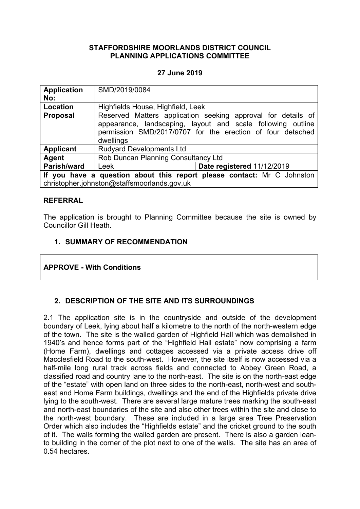#### **STAFFORDSHIRE MOORLANDS DISTRICT COUNCIL PLANNING APPLICATIONS COMMITTEE**

### **27 June 2019**

| <b>Application</b>                                                                                                    | SMD/2019/0084                                                                                                                                                                                          |                            |
|-----------------------------------------------------------------------------------------------------------------------|--------------------------------------------------------------------------------------------------------------------------------------------------------------------------------------------------------|----------------------------|
| No:                                                                                                                   |                                                                                                                                                                                                        |                            |
| Location                                                                                                              | Highfields House, Highfield, Leek                                                                                                                                                                      |                            |
| <b>Proposal</b>                                                                                                       | Reserved Matters application seeking approval for details of<br>appearance, landscaping, layout and scale following outline<br>permission SMD/2017/0707 for the erection of four detached<br>dwellings |                            |
| <b>Applicant</b>                                                                                                      | <b>Rudyard Developments Ltd</b>                                                                                                                                                                        |                            |
| Agent                                                                                                                 | Rob Duncan Planning Consultancy Ltd                                                                                                                                                                    |                            |
| Parish/ward                                                                                                           | Leek                                                                                                                                                                                                   | Date registered 11/12/2019 |
| If you have a question about this report please contact: Mr C Johnston<br>christopher.johnston@staffsmoorlands.gov.uk |                                                                                                                                                                                                        |                            |

#### **REFERRAL**

The application is brought to Planning Committee because the site is owned by Councillor Gill Heath.

#### **1. SUMMARY OF RECOMMENDATION**

#### **APPROVE - With Conditions**

## **2. DESCRIPTION OF THE SITE AND ITS SURROUNDINGS**

2.1 The application site is in the countryside and outside of the development boundary of Leek, lying about half a kilometre to the north of the north-western edge of the town. The site is the walled garden of Highfield Hall which was demolished in 1940's and hence forms part of the "Highfield Hall estate" now comprising a farm (Home Farm), dwellings and cottages accessed via a private access drive off Macclesfield Road to the south-west. However, the site itself is now accessed via a half-mile long rural track across fields and connected to Abbey Green Road, a classified road and country lane to the north-east. The site is on the north-east edge of the "estate" with open land on three sides to the north-east, north-west and southeast and Home Farm buildings, dwellings and the end of the Highfields private drive lying to the south-west. There are several large mature trees marking the south-east and north-east boundaries of the site and also other trees within the site and close to the north-west boundary. These are included in a large area Tree Preservation Order which also includes the "Highfields estate" and the cricket ground to the south of it. The walls forming the walled garden are present. There is also a garden leanto building in the corner of the plot next to one of the walls. The site has an area of 0.54 hectares.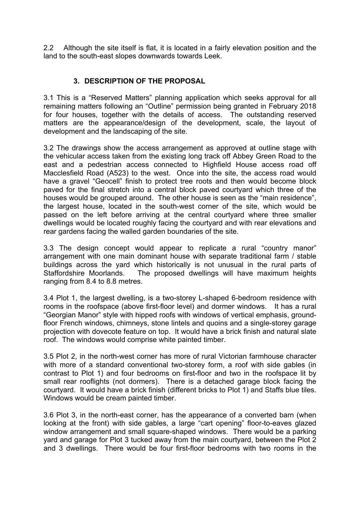2.2 Although the site itself is flat, it is located in a fairly elevation position and the land to the south-east slopes downwards towards Leek.

# **3. DESCRIPTION OF THE PROPOSAL**

3.1 This is a "Reserved Matters" planning application which seeks approval for all remaining matters following an "Outline" permission being granted in February 2018 for four houses, together with the details of access. The outstanding reserved matters are the appearance/design of the development, scale, the layout of development and the landscaping of the site.

3.2 The drawings show the access arrangement as approved at outline stage with the vehicular access taken from the existing long track off Abbey Green Road to the east and a pedestrian access connected to Highfield House access road off Macclesfield Road (A523) to the west. Once into the site, the access road would have a gravel "Geocell" finish to protect tree roots and then would become block paved for the final stretch into a central block paved courtyard which three of the houses would be grouped around. The other house is seen as the "main residence", the largest house, located in the south-west corner of the site, which would be passed on the left before arriving at the central courtyard where three smaller dwellings would be located roughly facing the courtyard and with rear elevations and rear gardens facing the walled garden boundaries of the site.

3.3 The design concept would appear to replicate a rural "country manor" arrangement with one main dominant house with separate traditional farm / stable buildings across the yard which historically is not unusual in the rural parts of Staffordshire Moorlands. The proposed dwellings will have maximum heights ranging from 8.4 to 8.8 metres.

3.4 Plot 1, the largest dwelling, is a two-storey L-shaped 6-bedroom residence with rooms in the roofspace (above first-floor level) and dormer windows. It has a rural "Georgian Manor" style with hipped roofs with windows of vertical emphasis, groundfloor French windows, chimneys, stone lintels and quoins and a single-storey garage projection with dovecote feature on top. It would have a brick finish and natural slate roof. The windows would comprise white painted timber.

3.5 Plot 2, in the north-west corner has more of rural Victorian farmhouse character with more of a standard conventional two-storey form, a roof with side gables (in contrast to Plot 1) and four bedrooms on first-floor and two in the roofspace lit by small rear rooflights (not dormers). There is a detached garage block facing the courtyard. It would have a brick finish (different bricks to Plot 1) and Staffs blue tiles. Windows would be cream painted timber.

3.6 Plot 3, in the north-east corner, has the appearance of a converted barn (when looking at the front) with side gables, a large "cart opening" floor-to-eaves glazed window arrangement and small square-shaped windows. There would be a parking yard and garage for Plot 3 tucked away from the main courtyard, between the Plot 2 and 3 dwellings. There would be four first-floor bedrooms with two rooms in the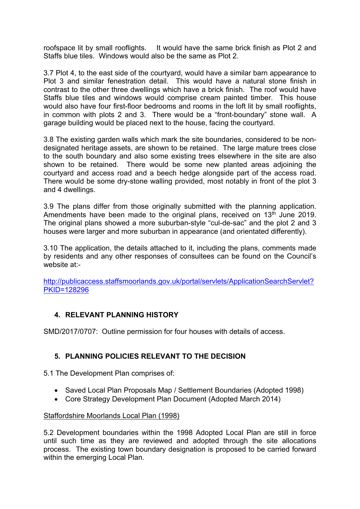roofspace lit by small rooflights. It would have the same brick finish as Plot 2 and Staffs blue tiles. Windows would also be the same as Plot 2.

3.7 Plot 4, to the east side of the courtyard, would have a similar barn appearance to Plot 3 and similar fenestration detail. This would have a natural stone finish in contrast to the other three dwellings which have a brick finish. The roof would have Staffs blue tiles and windows would comprise cream painted timber. This house would also have four first-floor bedrooms and rooms in the loft lit by small rooflights, in common with plots 2 and 3. There would be a "front-boundary" stone wall. A garage building would be placed next to the house, facing the courtyard.

3.8 The existing garden walls which mark the site boundaries, considered to be nondesignated heritage assets, are shown to be retained. The large mature trees close to the south boundary and also some existing trees elsewhere in the site are also shown to be retained. There would be some new planted areas adjoining the courtyard and access road and a beech hedge alongside part of the access road. There would be some dry-stone walling provided, most notably in front of the plot 3 and 4 dwellings.

3.9 The plans differ from those originally submitted with the planning application. Amendments have been made to the original plans, received on 13<sup>th</sup> June 2019. The original plans showed a more suburban-style "cul-de-sac" and the plot 2 and 3 houses were larger and more suburban in appearance (and orientated differently).

3.10 The application, the details attached to it, including the plans, comments made by residents and any other responses of consultees can be found on the Council's website at:-

[http://publicaccess.staffsmoorlands.gov.uk/portal/servlets/ApplicationSearchServlet?](http://publicaccess.staffsmoorlands.gov.uk/portal/servlets/ApplicationSearchServlet?PKID=128296) [PKID=128296](http://publicaccess.staffsmoorlands.gov.uk/portal/servlets/ApplicationSearchServlet?PKID=128296)

## **4. RELEVANT PLANNING HISTORY**

SMD/2017/0707: Outline permission for four houses with details of access.

# **5. PLANNING POLICIES RELEVANT TO THE DECISION**

5.1 The Development Plan comprises of:

- Saved Local Plan Proposals Map / Settlement Boundaries (Adopted 1998)
- Core Strategy Development Plan Document (Adopted March 2014)

## Staffordshire Moorlands Local Plan (1998)

5.2 Development boundaries within the 1998 Adopted Local Plan are still in force until such time as they are reviewed and adopted through the site allocations process. The existing town boundary designation is proposed to be carried forward within the emerging Local Plan.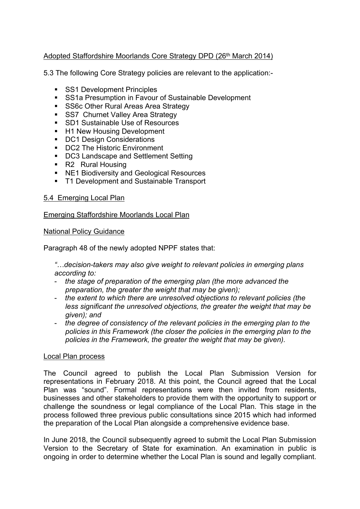## Adopted Staffordshire Moorlands Core Strategy DPD (26<sup>th</sup> March 2014)

5.3 The following Core Strategy policies are relevant to the application:-

- **SS1 Development Principles**
- **SS1a Presumption in Favour of Sustainable Development**
- **SS6c Other Rural Areas Area Strategy**
- **SS7** Churnet Valley Area Strategy
- SD1 Sustainable Use of Resources
- H1 New Housing Development
- **DC1 Design Considerations**
- DC2 The Historic Environment
- DC3 Landscape and Settlement Setting
- R2 Rural Housing
- NE1 Biodiversity and Geological Resources
- T1 Development and Sustainable Transport

#### 5.4 Emerging Local Plan

Emerging Staffordshire Moorlands Local Plan

#### National Policy Guidance

Paragraph 48 of the newly adopted NPPF states that:

*"…decision-takers may also give weight to relevant policies in emerging plans according to:*

- *the stage of preparation of the emerging plan (the more advanced the preparation, the greater the weight that may be given);*
- *the extent to which there are unresolved objections to relevant policies (the less significant the unresolved objections, the greater the weight that may be given); and*
- *the degree of consistency of the relevant policies in the emerging plan to the policies in this Framework (the closer the policies in the emerging plan to the policies in the Framework, the greater the weight that may be given).*

#### Local Plan process

The Council agreed to publish the Local Plan Submission Version for representations in February 2018. At this point, the Council agreed that the Local Plan was "sound". Formal representations were then invited from residents, businesses and other stakeholders to provide them with the opportunity to support or challenge the soundness or legal compliance of the Local Plan. This stage in the process followed three previous public consultations since 2015 which had informed the preparation of the Local Plan alongside a comprehensive evidence base.

In June 2018, the Council subsequently agreed to submit the Local Plan Submission Version to the Secretary of State for examination. An examination in public is ongoing in order to determine whether the Local Plan is sound and legally compliant.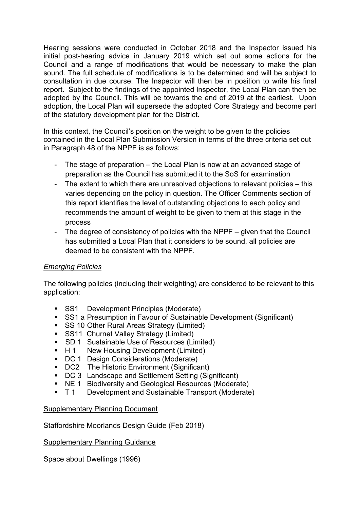Hearing sessions were conducted in October 2018 and the Inspector issued his initial post-hearing advice in January 2019 which set out some actions for the Council and a range of modifications that would be necessary to make the plan sound. The full schedule of modifications is to be determined and will be subject to consultation in due course. The Inspector will then be in position to write his final report. Subject to the findings of the appointed Inspector, the Local Plan can then be adopted by the Council. This will be towards the end of 2019 at the earliest. Upon adoption, the Local Plan will supersede the adopted Core Strategy and become part of the statutory development plan for the District.

In this context, the Council's position on the weight to be given to the policies contained in the Local Plan Submission Version in terms of the three criteria set out in Paragraph 48 of the NPPF is as follows:

- The stage of preparation the Local Plan is now at an advanced stage of preparation as the Council has submitted it to the SoS for examination
- The extent to which there are unresolved objections to relevant policies this varies depending on the policy in question. The Officer Comments section of this report identifies the level of outstanding objections to each policy and recommends the amount of weight to be given to them at this stage in the process
- The degree of consistency of policies with the NPPF given that the Council has submitted a Local Plan that it considers to be sound, all policies are deemed to be consistent with the NPPF.

## *Emerging Policies*

The following policies (including their weighting) are considered to be relevant to this application:

- **SS1** Development Principles (Moderate)
- SS1 a Presumption in Favour of Sustainable Development (Significant)
- SS 10 Other Rural Areas Strategy (Limited)
- **SS11 Churnet Valley Strategy (Limited)**
- **SD 1** Sustainable Use of Resources (Limited)
- H 1 New Housing Development (Limited)
- DC 1 Design Considerations (Moderate)
- DC2 The Historic Environment (Significant)
- DC 3 Landscape and Settlement Setting (Significant)
- **NE 1** Biodiversity and Geological Resources (Moderate)
- **T1** Development and Sustainable Transport (Moderate)

## Supplementary Planning Document

Staffordshire Moorlands Design Guide (Feb 2018)

## Supplementary Planning Guidance

Space about Dwellings (1996)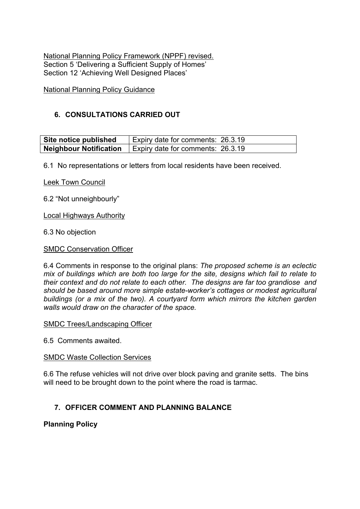National Planning Policy Framework (NPPF) revised. Section 5 'Delivering a Sufficient Supply of Homes' Section 12 'Achieving Well Designed Places'

National Planning Policy Guidance

## **6. CONSULTATIONS CARRIED OUT**

| Site notice published | Expiry date for comments: 26.3.19                                       |
|-----------------------|-------------------------------------------------------------------------|
|                       | <b>Neighbour Notification</b> $\vert$ Expiry date for comments: 26.3.19 |

6.1 No representations or letters from local residents have been received.

Leek Town Council

6.2 "Not unneighbourly"

Local Highways Authority

6.3 No objection

#### SMDC Conservation Officer

6.4 Comments in response to the original plans: *The proposed scheme is an eclectic mix of buildings which are both too large for the site, designs which fail to relate to their context and do not relate to each other. The designs are far too grandiose and should be based around more simple estate-worker's cottages or modest agricultural buildings (or a mix of the two). A courtyard form which mirrors the kitchen garden walls would draw on the character of the space.*

SMDC Trees/Landscaping Officer

6.5 Comments awaited.

#### SMDC Waste Collection Services

6.6 The refuse vehicles will not drive over block paving and granite setts. The bins will need to be brought down to the point where the road is tarmac.

## **7. OFFICER COMMENT AND PLANNING BALANCE**

**Planning Policy**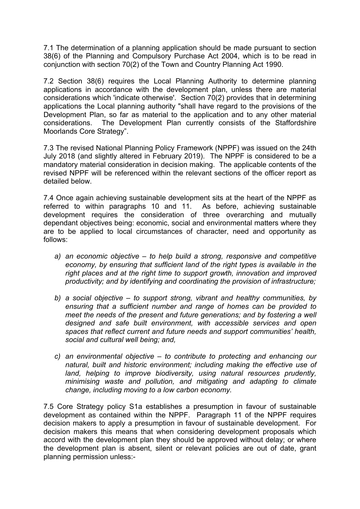7.1 The determination of a planning application should be made pursuant to section 38(6) of the Planning and Compulsory Purchase Act 2004, which is to be read in conjunction with section 70(2) of the Town and Country Planning Act 1990.

7.2 Section 38(6) requires the Local Planning Authority to determine planning applications in accordance with the development plan, unless there are material considerations which 'indicate otherwise'. Section 70(2) provides that in determining applications the Local planning authority "shall have regard to the provisions of the Development Plan, so far as material to the application and to any other material considerations. The Development Plan currently consists of the Staffordshire Moorlands Core Strategy".

7.3 The revised National Planning Policy Framework (NPPF) was issued on the 24th July 2018 (and slightly altered in February 2019). The NPPF is considered to be a mandatory material consideration in decision making. The applicable contents of the revised NPPF will be referenced within the relevant sections of the officer report as detailed below.

7.4 Once again achieving sustainable development sits at the heart of the NPPF as referred to within paragraphs 10 and 11. As before, achieving sustainable development requires the consideration of three overarching and mutually dependant objectives being: economic, social and environmental matters where they are to be applied to local circumstances of character, need and opportunity as follows:

- *a) an economic objective – to help build a strong, responsive and competitive economy, by ensuring that sufficient land of the right types is available in the right places and at the right time to support growth, innovation and improved productivity; and by identifying and coordinating the provision of infrastructure;*
- *b) a social objective – to support strong, vibrant and healthy communities, by ensuring that a sufficient number and range of homes can be provided to meet the needs of the present and future generations; and by fostering a well designed and safe built environment, with accessible services and open spaces that reflect current and future needs and support communities' health, social and cultural well being; and,*
- *c) an environmental objective – to contribute to protecting and enhancing our natural, built and historic environment; including making the effective use of land, helping to improve biodiversity, using natural resources prudently, minimising waste and pollution, and mitigating and adapting to climate change, including moving to a low carbon economy.*

7.5 Core Strategy policy S1a establishes a presumption in favour of sustainable development as contained within the NPPF. Paragraph 11 of the NPPF requires decision makers to apply a presumption in favour of sustainable development. For decision makers this means that when considering development proposals which accord with the development plan they should be approved without delay; or where the development plan is absent, silent or relevant policies are out of date, grant planning permission unless:-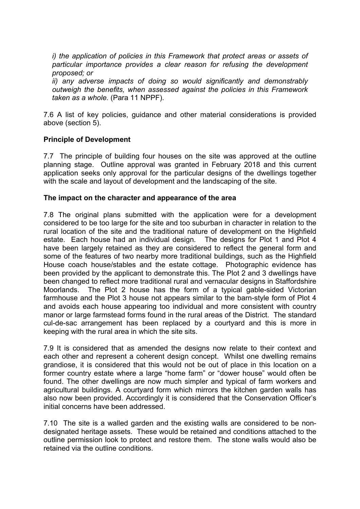*i) the application of policies in this Framework that protect areas or assets of particular importance provides a clear reason for refusing the development proposed; or*

*ii) any adverse impacts of doing so would significantly and demonstrably outweigh the benefits, when assessed against the policies in this Framework taken as a whole.* (Para 11 NPPF).

7.6 A list of key policies, guidance and other material considerations is provided above (section 5).

### **Principle of Development**

7.7 The principle of building four houses on the site was approved at the outline planning stage. Outline approval was granted in February 2018 and this current application seeks only approval for the particular designs of the dwellings together with the scale and layout of development and the landscaping of the site.

#### **The impact on the character and appearance of the area**

7.8 The original plans submitted with the application were for a development considered to be too large for the site and too suburban in character in relation to the rural location of the site and the traditional nature of development on the Highfield estate. Each house had an individual design. The designs for Plot 1 and Plot 4 have been largely retained as they are considered to reflect the general form and some of the features of two nearby more traditional buildings, such as the Highfield House coach house/stables and the estate cottage. Photographic evidence has been provided by the applicant to demonstrate this. The Plot 2 and 3 dwellings have been changed to reflect more traditional rural and vernacular designs in Staffordshire Moorlands. The Plot 2 house has the form of a typical gable-sided Victorian farmhouse and the Plot 3 house not appears similar to the barn-style form of Plot 4 and avoids each house appearing too individual and more consistent with country manor or large farmstead forms found in the rural areas of the District. The standard cul-de-sac arrangement has been replaced by a courtyard and this is more in keeping with the rural area in which the site sits.

7.9 It is considered that as amended the designs now relate to their context and each other and represent a coherent design concept. Whilst one dwelling remains grandiose, it is considered that this would not be out of place in this location on a former country estate where a large "home farm" or "dower house" would often be found. The other dwellings are now much simpler and typical of farm workers and agricultural buildings. A courtyard form which mirrors the kitchen garden walls has also now been provided. Accordingly it is considered that the Conservation Officer's initial concerns have been addressed.

7.10 The site is a walled garden and the existing walls are considered to be nondesignated heritage assets. These would be retained and conditions attached to the outline permission look to protect and restore them. The stone walls would also be retained via the outline conditions.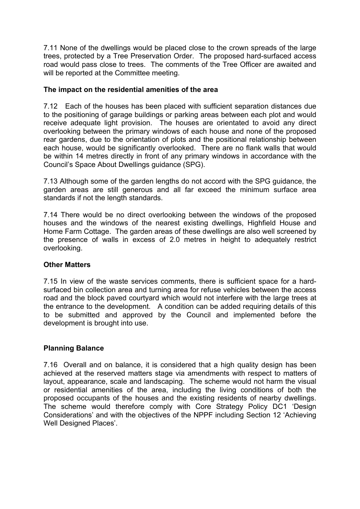7.11 None of the dwellings would be placed close to the crown spreads of the large trees, protected by a Tree Preservation Order. The proposed hard-surfaced access road would pass close to trees. The comments of the Tree Officer are awaited and will be reported at the Committee meeting.

### **The impact on the residential amenities of the area**

7.12 Each of the houses has been placed with sufficient separation distances due to the positioning of garage buildings or parking areas between each plot and would receive adequate light provision. The houses are orientated to avoid any direct overlooking between the primary windows of each house and none of the proposed rear gardens, due to the orientation of plots and the positional relationship between each house, would be significantly overlooked. There are no flank walls that would be within 14 metres directly in front of any primary windows in accordance with the Council's Space About Dwellings guidance (SPG).

7.13 Although some of the garden lengths do not accord with the SPG guidance, the garden areas are still generous and all far exceed the minimum surface area standards if not the length standards.

7.14 There would be no direct overlooking between the windows of the proposed houses and the windows of the nearest existing dwellings, Highfield House and Home Farm Cottage. The garden areas of these dwellings are also well screened by the presence of walls in excess of 2.0 metres in height to adequately restrict overlooking.

#### **Other Matters**

7.15 In view of the waste services comments, there is sufficient space for a hardsurfaced bin collection area and turning area for refuse vehicles between the access road and the block paved courtyard which would not interfere with the large trees at the entrance to the development. A condition can be added requiring details of this to be submitted and approved by the Council and implemented before the development is brought into use.

## **Planning Balance**

7.16 Overall and on balance, it is considered that a high quality design has been achieved at the reserved matters stage via amendments with respect to matters of layout, appearance, scale and landscaping. The scheme would not harm the visual or residential amenities of the area, including the living conditions of both the proposed occupants of the houses and the existing residents of nearby dwellings. The scheme would therefore comply with Core Strategy Policy DC1 'Design Considerations' and with the objectives of the NPPF including Section 12 'Achieving Well Designed Places'.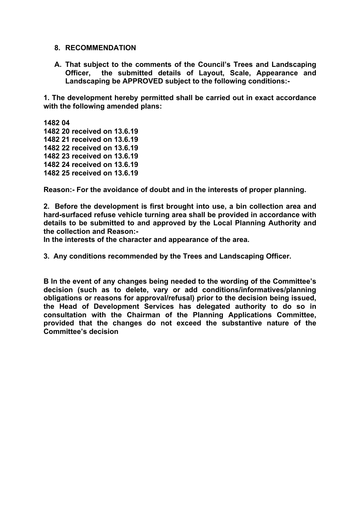#### **8. RECOMMENDATION**

**A. That subject to the comments of the Council's Trees and Landscaping Officer, the submitted details of Layout, Scale, Appearance and Landscaping be APPROVED subject to the following conditions:-**

**1. The development hereby permitted shall be carried out in exact accordance with the following amended plans:**

**1482 04 20 received on 13.6.19 21 received on 13.6.19 22 received on 13.6.19 23 received on 13.6.19 24 received on 13.6.19 25 received on 13.6.19**

**Reason:- For the avoidance of doubt and in the interests of proper planning.**

**2. Before the development is first brought into use, a bin collection area and hard-surfaced refuse vehicle turning area shall be provided in accordance with details to be submitted to and approved by the Local Planning Authority and the collection and Reason:-**

**In the interests of the character and appearance of the area.**

**3. Any conditions recommended by the Trees and Landscaping Officer.**

**B In the event of any changes being needed to the wording of the Committee's decision (such as to delete, vary or add conditions/informatives/planning obligations or reasons for approval/refusal) prior to the decision being issued, the Head of Development Services has delegated authority to do so in consultation with the Chairman of the Planning Applications Committee, provided that the changes do not exceed the substantive nature of the Committee's decision**